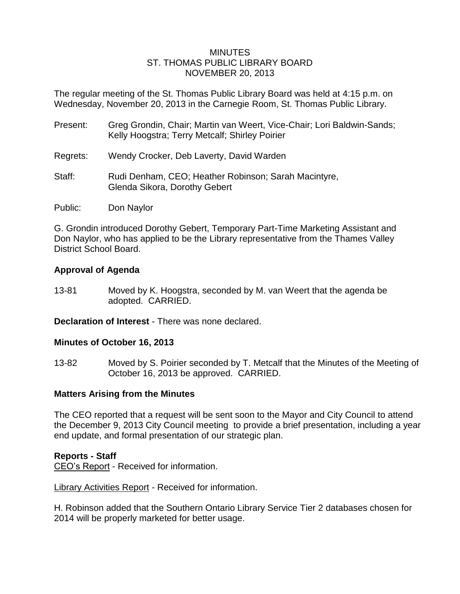### **MINUTES** ST. THOMAS PUBLIC LIBRARY BOARD NOVEMBER 20, 2013

The regular meeting of the St. Thomas Public Library Board was held at 4:15 p.m. on Wednesday, November 20, 2013 in the Carnegie Room, St. Thomas Public Library.

| Present: | Greg Grondin, Chair; Martin van Weert, Vice-Chair; Lori Baldwin-Sands;<br>Kelly Hoogstra; Terry Metcalf; Shirley Poirier |
|----------|--------------------------------------------------------------------------------------------------------------------------|
| Regrets: | Wendy Crocker, Deb Laverty, David Warden                                                                                 |
| Staff:   | Rudi Denham, CEO; Heather Robinson; Sarah Macintyre,<br>Glenda Sikora, Dorothy Gebert                                    |
| Public:  | Don Naylor                                                                                                               |

G. Grondin introduced Dorothy Gebert, Temporary Part-Time Marketing Assistant and Don Naylor, who has applied to be the Library representative from the Thames Valley District School Board.

## **Approval of Agenda**

13-81 Moved by K. Hoogstra, seconded by M. van Weert that the agenda be adopted. CARRIED.

**Declaration of Interest** - There was none declared.

## **Minutes of October 16, 2013**

13-82 Moved by S. Poirier seconded by T. Metcalf that the Minutes of the Meeting of October 16, 2013 be approved. CARRIED.

## **Matters Arising from the Minutes**

The CEO reported that a request will be sent soon to the Mayor and City Council to attend the December 9, 2013 City Council meeting to provide a brief presentation, including a year end update, and formal presentation of our strategic plan.

#### **Reports - Staff**

CEO's Report - Received for information.

Library Activities Report - Received for information.

H. Robinson added that the Southern Ontario Library Service Tier 2 databases chosen for 2014 will be properly marketed for better usage.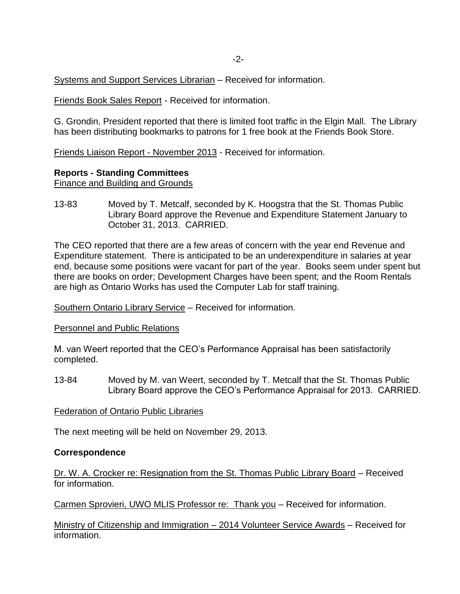Systems and Support Services Librarian – Received for information.

Friends Book Sales Report - Received for information.

G. Grondin, President reported that there is limited foot traffic in the Elgin Mall. The Library has been distributing bookmarks to patrons for 1 free book at the Friends Book Store.

Friends Liaison Report - November 2013 - Received for information.

## **Reports - Standing Committees**

Finance and Building and Grounds

13-83 Moved by T. Metcalf, seconded by K. Hoogstra that the St. Thomas Public Library Board approve the Revenue and Expenditure Statement January to October 31, 2013. CARRIED.

The CEO reported that there are a few areas of concern with the year end Revenue and Expenditure statement. There is anticipated to be an underexpenditure in salaries at year end, because some positions were vacant for part of the year. Books seem under spent but there are books on order; Development Charges have been spent; and the Room Rentals are high as Ontario Works has used the Computer Lab for staff training.

Southern Ontario Library Service – Received for information.

Personnel and Public Relations

M. van Weert reported that the CEO's Performance Appraisal has been satisfactorily completed.

13-84 Moved by M. van Weert, seconded by T. Metcalf that the St. Thomas Public Library Board approve the CEO's Performance Appraisal for 2013. CARRIED.

Federation of Ontario Public Libraries

The next meeting will be held on November 29, 2013.

#### **Correspondence**

Dr. W. A. Crocker re: Resignation from the St. Thomas Public Library Board – Received for information.

Carmen Sprovieri, UWO MLIS Professor re: Thank you – Received for information.

Ministry of Citizenship and Immigration – 2014 Volunteer Service Awards – Received for information.